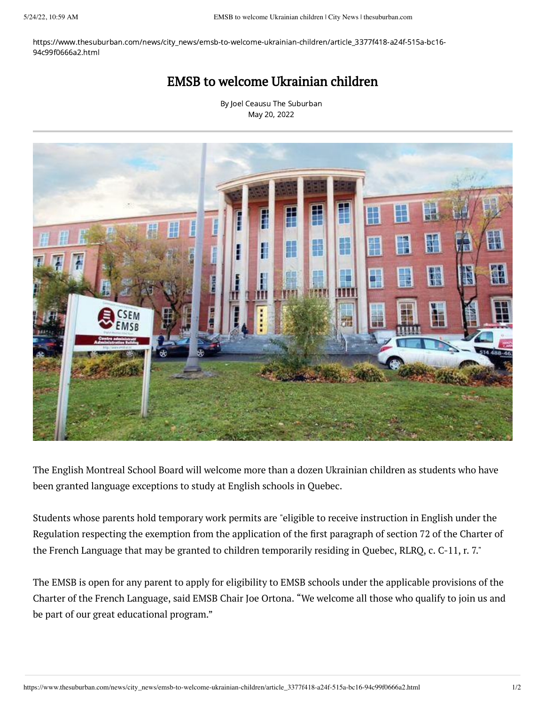https://www.thesuburban.com/news/city\_news/emsb-to-welcome-ukrainian-children/article\_3377f418-a24f-515a-bc16- 94c99f0666a2.html

## EMSB to welcome Ukrainian children

By Joel Ceausu The [Suburban](https://www.thesuburban.com/users/profile/Joel%20Ceausu) May 20, 2022



The English Montreal School Board will welcome more than a dozen Ukrainian children as students who have been granted language exceptions to study at English schools in Quebec.

Students whose parents hold temporary work permits are "eligible to receive instruction in English under the Regulation respecting the exemption from the application of the first paragraph of section 72 of the Charter of the French Language that may be granted to children temporarily residing in Quebec, RLRQ, c. C-11, r. 7."

The EMSB is open for any parent to apply for eligibility to EMSB schools under the applicable provisions of the Charter of the French Language, said EMSB Chair Joe Ortona. "We welcome all those who qualify to join us and be part of our great educational program."